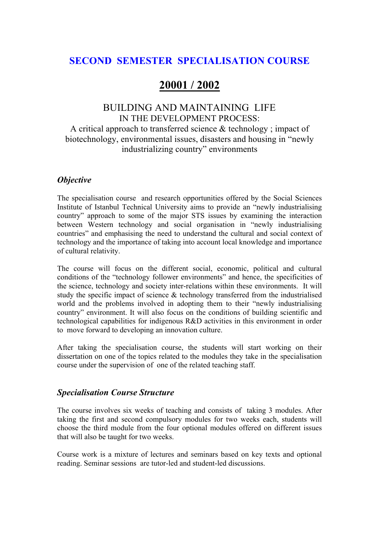# **SECOND SEMESTER SPECIALISATION COURSE**

# **20001 / 2002**

# BUILDING AND MAINTAINING LIFE IN THE DEVELOPMENT PROCESS: A critical approach to transferred science & technology ; impact of biotechnology, environmental issues, disasters and housing in "newly industrializing country" environments

### *Objective*

The specialisation course and research opportunities offered by the Social Sciences Institute of Istanbul Technical University aims to provide an "newly industrialising country" approach to some of the major STS issues by examining the interaction between Western technology and social organisation in "newly industrialising countries" and emphasising the need to understand the cultural and social context of technology and the importance of taking into account local knowledge and importance of cultural relativity.

The course will focus on the different social, economic, political and cultural conditions of the "technology follower environments" and hence, the specificities of the science, technology and society inter-relations within these environments. It will study the specific impact of science & technology transferred from the industrialised world and the problems involved in adopting them to their "newly industrialising country" environment. It will also focus on the conditions of building scientific and technological capabilities for indigenous R&D activities in this environment in order to move forward to developing an innovation culture.

After taking the specialisation course, the students will start working on their dissertation on one of the topics related to the modules they take in the specialisation course under the supervision of one of the related teaching staff.

### *Specialisation Course Structure*

The course involves six weeks of teaching and consists of taking 3 modules. After taking the first and second compulsory modules for two weeks each, students will choose the third module from the four optional modules offered on different issues that will also be taught for two weeks.

Course work is a mixture of lectures and seminars based on key texts and optional reading. Seminar sessions are tutor-led and student-led discussions.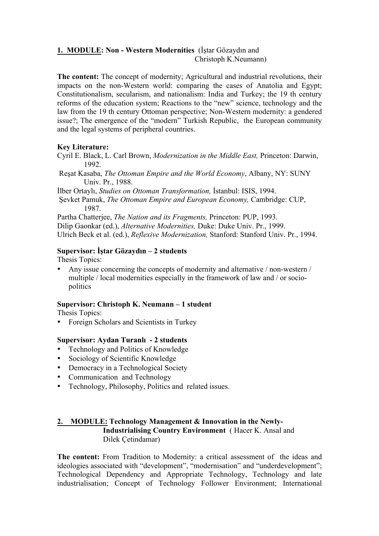#### **1. MODULE: Non - Western Modernities** (İştar Gözaydın and Christoph K.Neumann)

**The content:** The concept of modernity; Agricultural and industrial revolutions, their impacts on the non-Western world: comparing the cases of Anatolia and Egypt; Constitutionalism, secularism, and nationalism: India and Turkey; the 19 th century reforms of the education system; Reactions to the "new" science, technology and the law from the 19 th century Ottoman perspective; Non-Western modernity: a gendered issue?; The emergence of the "modern" Turkish Republic, the European community and the legal systems of peripheral countries.

#### **Key Literature:**

- Cyril E. Black, L. Carl Brown, *Modernization in the Middle East,* Princeton: Darwin, 1992.
- Reşat Kasaba, *The Ottoman Empire and the World Economy*, Albany, NY: SUNY Univ. Pr., 1988.

İlber Ortaylı, *Studies on Ottoman Transformation,* İstanbul: ISIS, 1994.

Şevket Pamuk, *The Ottoman Empire and European Economy,* Cambridge: CUP, 1987.

Partha Chatterjee, *The Nation and its Fragments,* Princeton: PUP, 1993.

Dilip Gaonkar (ed.), *Alternative Modernities,* Duke: Duke Univ. Pr., 1999.

Ulrich Beck et al. (ed.), *Reflexive Modernization,* Stanford: Stanford Univ. Pr., 1994.

#### **Supervisor: İştar Gözaydın – 2 students**

Thesis Topics:

• Any issue concerning the concepts of modernity and alternative / non-western / multiple / local modernities especially in the framework of law and / or sociopolitics

#### **Supervisor: Christoph K. Neumann – 1 student**

Thesis Topics:

• Foreign Scholars and Scientists in Turkey

#### **Supervisor: Aydan Turanlı - 2 students**

- Technology and Politics of Knowledge
- Sociology of Scientific Knowledge
- Democracy in a Technological Society
- Communication and Technology
- Technology, Philosophy, Politics and related issues.

#### **2. MODULE: Technology Management & Innovation in the Newly-Industrialising Country Environment** ( Hacer K. Ansal and Dilek Çetindamar)

**The content:** From Tradition to Modernity: a critical assessment of the ideas and ideologies associated with "development", "modernisation" and "underdevelopment"; Technological Dependency and Appropriate Technology, Technology and late industrialisation; Concept of Technology Follower Environment; International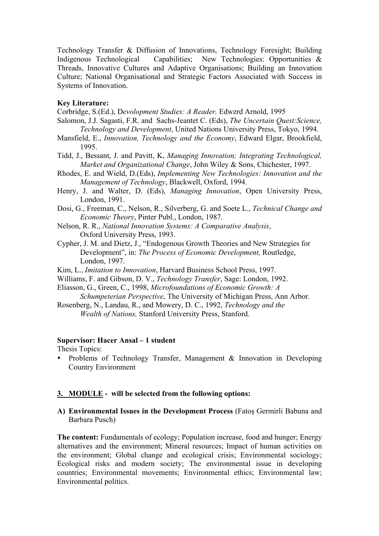Technology Transfer & Diffusion of Innovations, Technology Foresight; Building Indigenous Technological Capabilities; New Technologies: Opportunities & Threads, Innovative Cultures and Adaptive Organisations; Building an Innovation Culture; National Organisational and Strategic Factors Associated with Success in Systems of Innovation.

#### **Key Literature:**

Corbridge, S.(Ed.), D*evolopment Studies: A Reader,* Edwzrd Arnold, 1995

- Salomon, J.J. Sagasti, F.R. and Sachs-Jeantet C. (Eds), *The Uncertain Quest:Science, Technology and Development*, United Nations University Press, Tokyo, 1994.
- Mansfield, E., *Innovation, Technology and the Economy*, Edward Elgar, Brookfield, 1995.
- Tidd, J., Bessant, J. and Pavitt, K, *Managing Innovation; Integrating Technological, Market and Organizational Change*, John Wiley & Sons, Chichester, 1997.
- Rhodes, E. and Wield, D.(Eds), *Implementing New Technologies: Innovation and the Management of Technology*, Blackwell, Oxford, 1994.
- Henry, J. and Walter, D. (Eds), *Managing Innovation*, Open University Press, London, 1991.
- Dosi, G., Freeman, C., Nelson, R., Silverberg, G. and Soete L., *Technical Change and Economic Theory*, Pinter Publ., London, 1987.
- Nelson, R. R., *National Innovation Systems: A Comparative Analysis*, Oxford University Press, 1993.
- Cypher, J. M. and Dietz, J., "Endogenous Growth Theories and New Strategies for Development", in: *The Process of Economic Development,* Routledge, London, 1997.
- Kim, L., *Imitation to Innovation*, Harvard Business School Press, 1997.
- Williams, F. and Gibson, D. V., *Technology Transfer*, Sage: London, 1992.
- Eliasson, G., Green, C., 1998, *Microfoundations of Economic Growth: A Schumpeterian Perspective*, The University of Michigan Press, Ann Arbor.
- Rosenberg, N., Landau, R., and Mowery, D. C., 1992, *Technology and the Wealth of Nations,* Stanford University Press, Stanford.

#### **Supervisor: Hacer Ansal – 1 student**

Thesis Topics:

• Problems of Technology Transfer, Management & Innovation in Developing Country Environment

#### **3. MODULE - will be selected from the following options:**

**A) Environmental Issues in the Development Process** (Fatoş Germirli Babuna and Barbara Pusch)

**The content:** Fundamentals of ecology; Population increase, food and hunger; Energy alternatives and the environment; Mineral resources; Impact of human activities on the environment; Global change and ecological crisis; Environmental sociology; Ecological risks and modern society; The environmental issue in developing countries; Environmental movements; Environmental ethics; Environmental law; Environmental politics.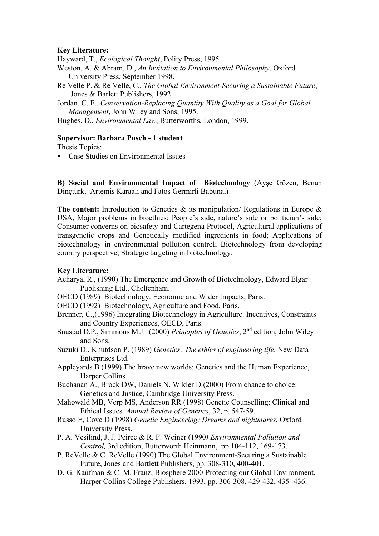#### **Key Literature:**

Hayward, T., *Ecological Thought*, Polity Press, 1995.

- Weston, A. & Abram, D., *An Invitation to Environmental Philosophy*, Oxford University Press, September 1998.
- Re Velle P. & Re Velle, C., *The Global Environment-Securing a Sustainable Future*, Jones & Barlett Publishers, 1992.

Jordan, C. F., *Conservation-Replacing Quantity With Quality as a Goal for Global Management*, John Wiley and Sons, 1995.

Hughes, D., *Environmental Law*, Butterworths, London, 1999.

#### **Supervisor: Barbara Pusch - 1 student**

Thesis Topics:

• Case Studies on Environmental Issues

**B) Social and Environmental Impact of Biotechnology** (Ayşe Gözen, Benan Dinçtürk, Artemis Karaali and Fatoş Germirli Babuna,)

**The content:** Introduction to Genetics & its manipulation/ Regulations in Europe & USA, Major problems in bioethics: People's side, nature's side or politician's side; Consumer concerns on biosafety and Cartegena Protocol, Agricultural applications of transgenetic crops and Genetically modified ingredients in food; Applications of biotechnology in environmental pollution control; Biotechnology from developing country perspective, Strategic targeting in biotechnology.

#### **Key Literature:**

- Acharya, R., (1990) The Emergence and Growth of Biotechnology, Edward Elgar Publishing Ltd., Cheltenham.
- OECD (1989) Biotechnology. Economic and Wider Impacts, Paris.
- OECD (1992) Biotechnology, Agriculture and Food, Paris.
- Brenner, C.,(1996) Integrating Biotechnology in Agriculture. Incentives, Constraints and Country Experiences, OECD, Paris.
- Snustad D.P., Simmons M.J. (2000) *Principles of Genetics*, 2nd edition, John Wiley and Sons.
- Suzuki D., Knutdson P. (1989) *Genetics: The ethics of engineering life*, New Data Enterprises Ltd.
- Appleyards B (1999) The brave new worlds: Genetics and the Human Experience, Harper Collins.
- Buchanan A., Brock DW, Daniels N, Wikler D (2000) From chance to choice: Genetics and Justice, Cambridge University Press.
- Mahowald MB, Verp MS, Anderson RR (1998) Genetic Counselling: Clinical and Ethical Issues. *Annual Review of Genetics*, 32, p. 547-59.
- Russo E, Cove D (1998) *Genetic Engineering: Dreams and nightmares*, Oxford University Press.
- P. A. Vesilind, J. J. Peirce & R. F. Weiner (1990*) Environmental Pollution and Control,* 3rd edition, Butterworth Heinmann, pp 104-112, 169-173.
- P. ReVelle & C. ReVelle (1990) The Global Environment-Securing a Sustainable Future, Jones and Bartlett Publishers, pp. 308-310, 400-401.
- D. G. Kaufman & C. M. Franz, Biosphere 2000-Protecting our Global Environment, Harper Collins College Publishers, 1993, pp. 306-308, 429-432, 435- 436.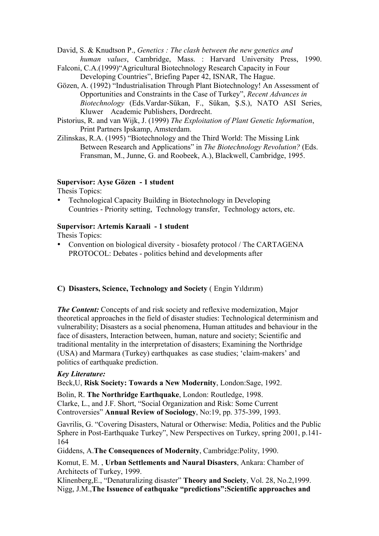David, S. & Knudtson P., *Genetics : The clash between the new genetics and human values*, Cambridge, Mass. : Harvard University Press, 1990.

- Falconi, C.A.(1999)"Agricultural Biotechnology Research Capacity in Four Developing Countries", Briefing Paper 42, ISNAR, The Hague.
- Gözen, A. (1992) "Industrialisation Through Plant Biotechnology! An Assessment of Opportunities and Constraints in the Case of Turkey", *Recent Advances in Biotechnology* (Eds.Vardar-Sükan, F., Sükan, Ş.S.), NATO ASI Series, Kluwer Academic Publishers, Dordrecht.
- Pistorius, R. and van Wijk, J. (1999) *The Exploitation of Plant Genetic Information*, Print Partners Ipskamp, Amsterdam.
- Zilinskas, R.A. (1995) "Biotechnology and the Third World: The Missing Link Between Research and Applications" in *The Biotechnology Revolution?* (Eds. Fransman, M., Junne, G. and Roobeek, A.), Blackwell, Cambridge, 1995.

#### **Supervisor: Ayse Gözen - 1 student**

Thesis Topics:

• Technological Capacity Building in Biotechnology in Developing Countries - Priority setting, Technology transfer, Technology actors, etc.

#### **Supervisor: Artemis Karaali - 1 student**

Thesis Topics:

• Convention on biological diversity - biosafety protocol / The CARTAGENA PROTOCOL: Debates - politics behind and developments after

#### **C) Disasters, Science, Technology and Society** ( Engin Yıldırım)

*The Content:* Concepts of and risk society and reflexive modernization, Major theoretical approaches in the field of disaster studies: Technological determinism and vulnerability; Disasters as a social phenomena, Human attitudes and behaviour in the face of disasters, Interaction between, human, nature and society; Scientific and traditional mentality in the interpretation of disasters; Examining the Northridge (USA) and Marmara (Turkey) earthquakes as case studies; 'claim-makers' and politics of earthquake prediction.

#### *Key Literature:*

Beck,U, **Risk Society: Towards a New Modernity**, London:Sage, 1992.

Bolin, R. **The Northridge Earthquake**, London: Routledge, 1998. Clarke, L., and J.F. Short, "Social Organization and Risk: Some Current Controversies" **Annual Review of Sociology**, No:19, pp. 375-399, 1993.

Gavrilis, G. "Covering Disasters, Natural or Otherwise: Media, Politics and the Public Sphere in Post-Earthquake Turkey", New Perspectives on Turkey, spring 2001, p.141- 164

Giddens, A.**The Consequences of Modernity**, Cambridge:Polity, 1990.

Komut, E. M. , **Urban Settlements and Naural Disasters**, Ankara: Chamber of Architects of Turkey, 1999.

Klinenberg,E., "Denaturalizing disaster" **Theory and Society**, Vol. 28, No.2,1999. Nigg, J.M.,**The Issuence of eathquake "predictions":Scientific approaches and**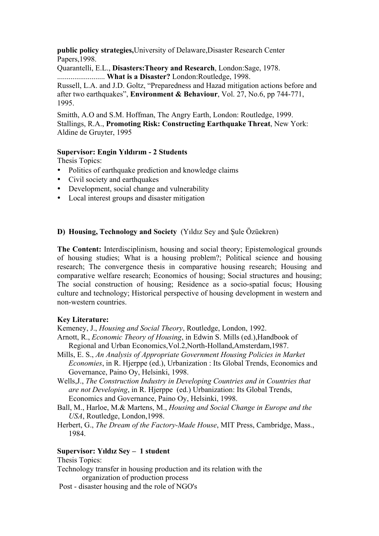**public policy strategies,**University of Delaware,Disaster Research Center Papers,1998.

Quarantelli, E.L., **Disasters:Theory and Research**, London:Sage, 1978. ......................... **What is a Disaster?** London:Routledge, 1998.

Russell, L.A. and J.D. Goltz, "Preparedness and Hazad mitigation actions before and after two earthquakes", **Environment & Behaviour**, Vol. 27, No.6, pp 744-771, 1995.

Smitth, A.O and S.M. Hoffman, The Angry Earth, London: Routledge, 1999. Stallings, R.A., **Promoting Risk: Constructing Earthquake Threat**, New York: Aldine de Gruyter, 1995

#### **Supervisor: Engin Yıldırım - 2 Students**

Thesis Topics:

- Politics of earthquake prediction and knowledge claims
- Civil society and earthquakes
- Development, social change and vulnerability
- Local interest groups and disaster mitigation

#### **D) Housing, Technology and Society** (Yıldız Sey and Şule Özüekren)

**The Content:** Interdisciplinism, housing and social theory; Epistemological grounds of housing studies; What is a housing problem?; Political science and housing research; The convergence thesis in comparative housing research; Housing and comparative welfare research; Economics of housing; Social structures and housing; The social construction of housing; Residence as a socio-spatial focus; Housing culture and technology; Historical perspective of housing development in western and non-western countries.

#### **Key Literature:**

Kemeney, J., *Housing and Social Theory*, Routledge, London, 1992.

- Arnott, R., *Economic Theory of Housing*, in Edwin S. Mills (ed.),Handbook of Regional and Urban Economics,Vol.2,North-Holland,Amsterdam,1987.
- Mills, E. S., *An Analysis of Appropriate Government Housing Policies in Market Economies*, in R. Hjerppe (ed.), Urbanization : Its Global Trends, Economics and Governance, Paino Oy, Helsinki, 1998.
- Wells,J., *The Construction Industry in Developing Countries and in Countries that are not Developing*, in R. Hjerppe (ed.) Urbanization: Its Global Trends, Economics and Governance, Paino Oy, Helsinki, 1998.
- Ball, M., Harloe, M.& Martens, M., *Housing and Social Change in Europe and the USA*, Routledge, London,1998.
- Herbert, G., *The Dream of the Factory-Made House*, MIT Press, Cambridge, Mass., 1984.

#### **Supervisor: Yıldız Sey – 1 student**

Thesis Topics:

Technology transfer in housing production and its relation with the organization of production process

Post - disaster housing and the role of NGO's